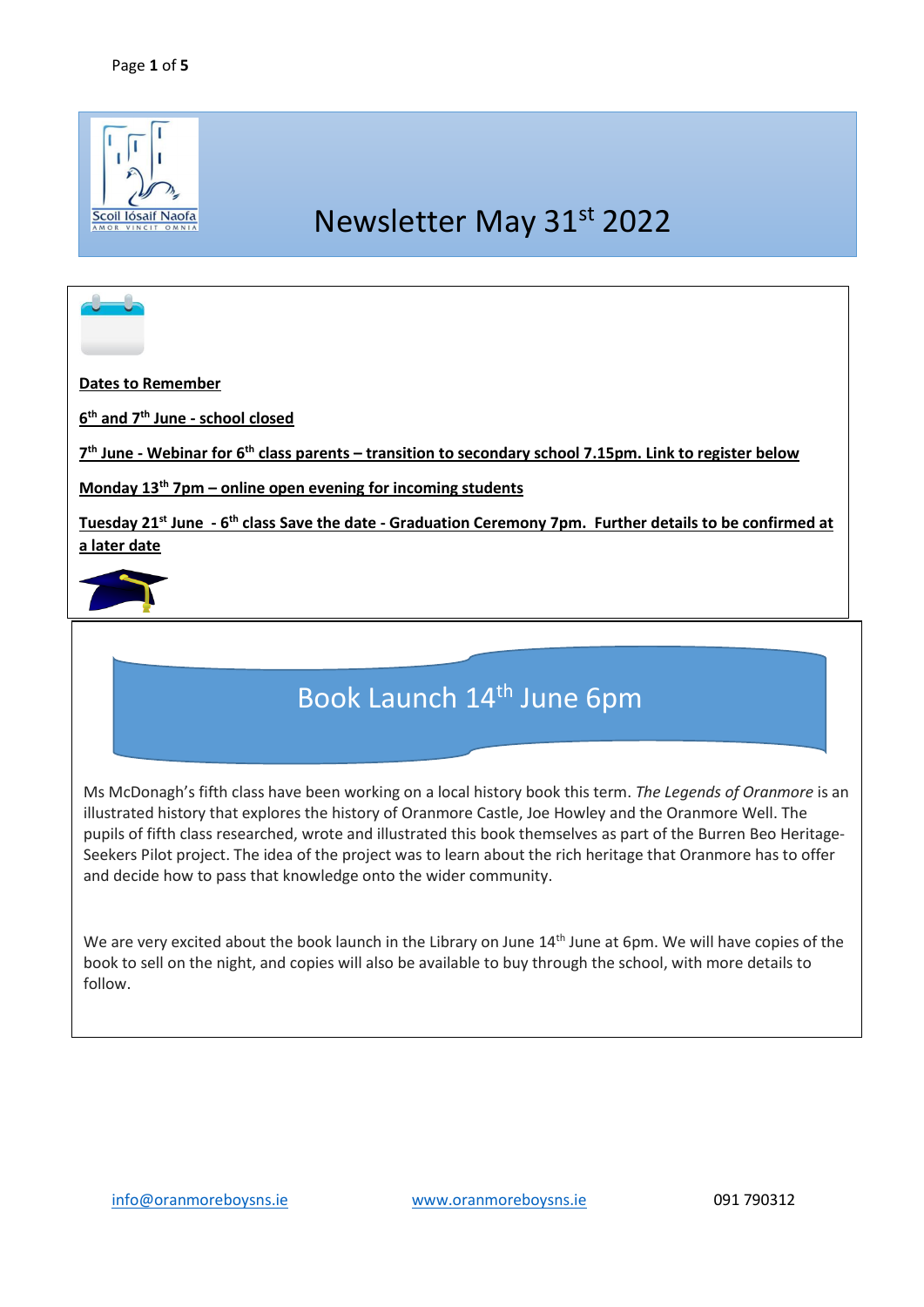

# Newsletter May 31st 2022

**Dates to Remember**

**6 th and 7 th June - school closed** 

**7 th June - Webinar for 6th class parents – transition to secondary school 7.15pm. Link to register below** 

**Monday 13th 7pm – online open evening for incoming students**

**Tuesday 21st June - 6 th class Save the date - Graduation Ceremony 7pm. Further details to be confirmed at a later date**



# Book Launch 14<sup>th</sup> June 6pm

Ms McDonagh's fifth class have been working on a local history book this term. *The Legends of Oranmore* is an illustrated history that explores the history of Oranmore Castle, Joe Howley and the Oranmore Well. The pupils of fifth class researched, wrote and illustrated this book themselves as part of the Burren Beo Heritage-Seekers Pilot project. The idea of the project was to learn about the rich heritage that Oranmore has to offer and decide how to pass that knowledge onto the wider community.

We are very excited about the book launch in the Library on June 14<sup>th</sup> June at 6pm. We will have copies of the book to sell on the night, and copies will also be available to buy through the school, with more details to follow.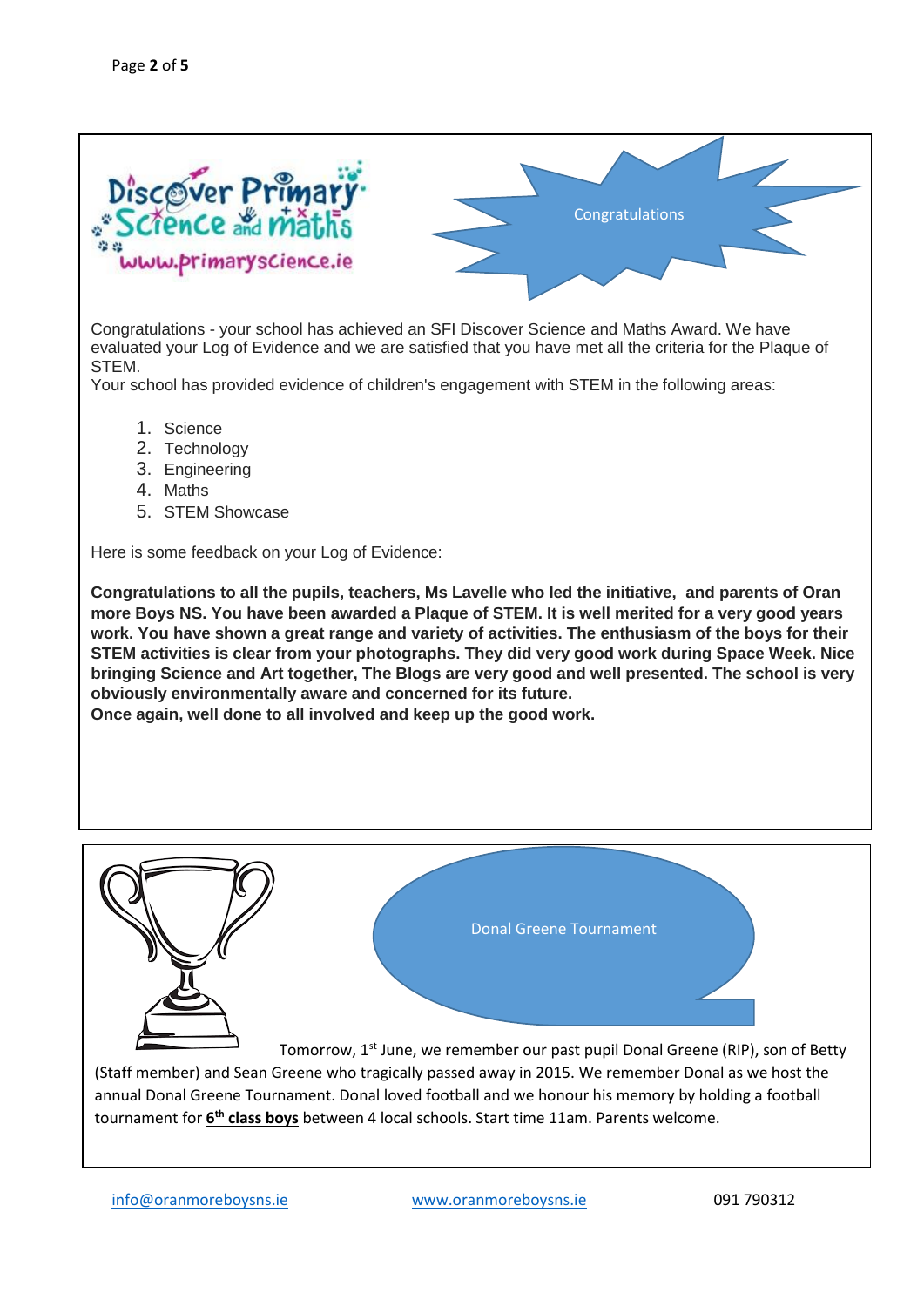

Congratulations - your school has achieved an SFI Discover Science and Maths Award. We have evaluated your Log of Evidence and we are satisfied that you have met all the criteria for the Plaque of STEM.

Your school has provided evidence of children's engagement with STEM in the following areas:

- 1. Science
- 2. Technology
- 3. Engineering
- 4. Maths
- 5. STEM Showcase

Here is some feedback on your Log of Evidence:

**Congratulations to all the pupils, teachers, Ms Lavelle who led the initiative, and parents of Oran more Boys NS. You have been awarded a Plaque of STEM. It is well merited for a very good years work. You have shown a great range and variety of activities. The enthusiasm of the boys for their STEM activities is clear from your photographs. They did very good work during Space Week. Nice bringing Science and Art together, The Blogs are very good and well presented. The school is very obviously environmentally aware and concerned for its future.**

**Once again, well done to all involved and keep up the good work.**



(Staff member) and Sean Greene who tragically passed away in 2015. We remember Donal as we host the annual Donal Greene Tournament. Donal loved football and we honour his memory by holding a football tournament for **6 th class boys** between 4 local schools. Start time 11am. Parents welcome.

[info@oranmoreboysns.ie](mailto:info@oranmoreboysns.ie) [www.oranmoreboysns.ie](http://www.oranmoreboysns.i/) 091 790312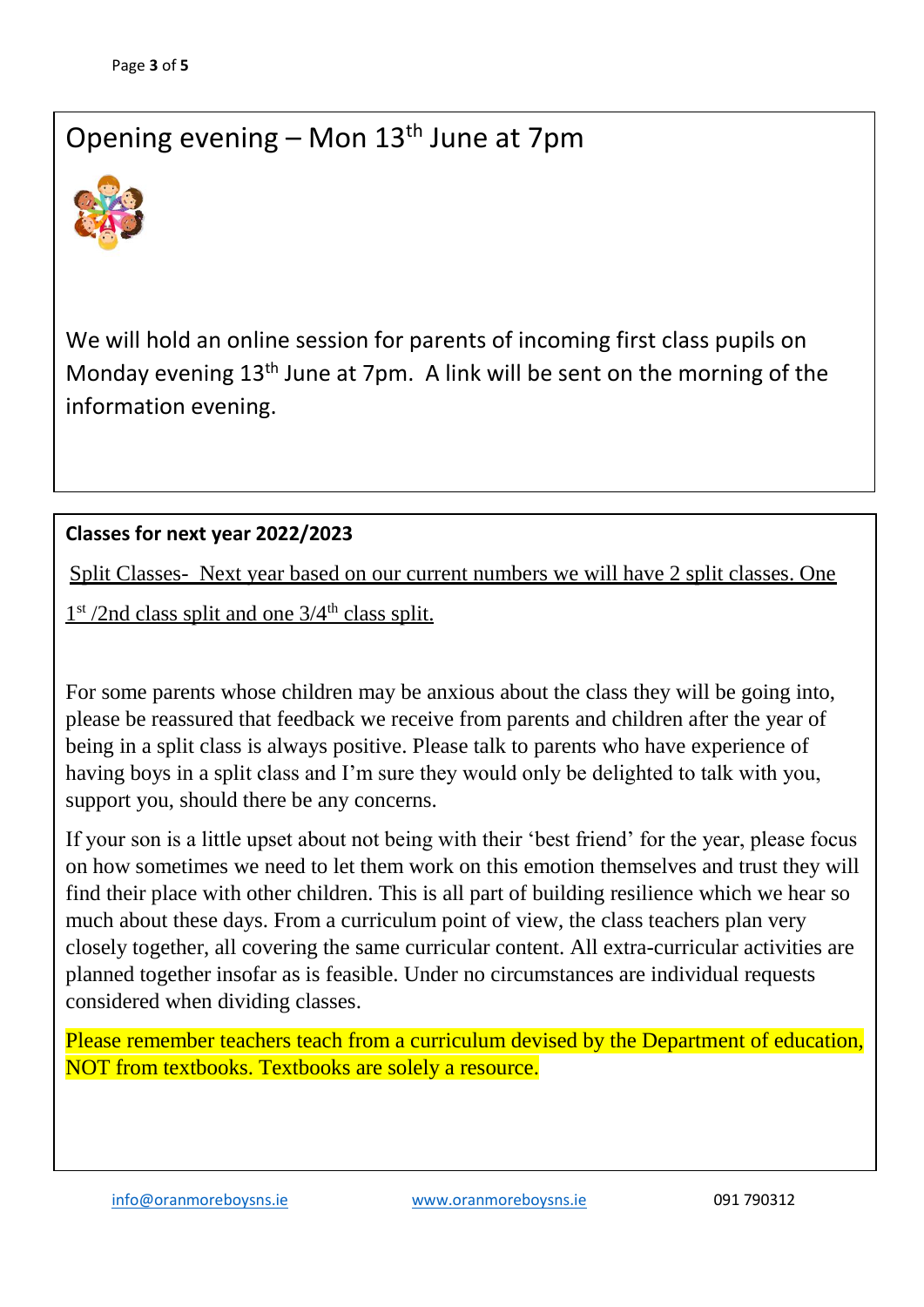### Opening evening – Mon  $13<sup>th</sup>$  June at 7pm



We will hold an online session for parents of incoming first class pupils on Monday evening  $13<sup>th</sup>$  June at 7pm. A link will be sent on the morning of the information evening.

### **Classes for next year 2022/2023**

Split Classes- Next year based on our current numbers we will have 2 split classes. One

 $1<sup>st</sup>$  /2nd class split and one  $3/4<sup>th</sup>$  class split.

For some parents whose children may be anxious about the class they will be going into, please be reassured that feedback we receive from parents and children after the year of being in a split class is always positive. Please talk to parents who have experience of having boys in a split class and I'm sure they would only be delighted to talk with you, support you, should there be any concerns.

If your son is a little upset about not being with their 'best friend' for the year, please focus on how sometimes we need to let them work on this emotion themselves and trust they will find their place with other children. This is all part of building resilience which we hear so much about these days. From a curriculum point of view, the class teachers plan very closely together, all covering the same curricular content. All extra-curricular activities are planned together insofar as is feasible. Under no circumstances are individual requests considered when dividing classes.

Please remember teachers teach from a curriculum devised by the Department of education, NOT from textbooks. Textbooks are solely a resource.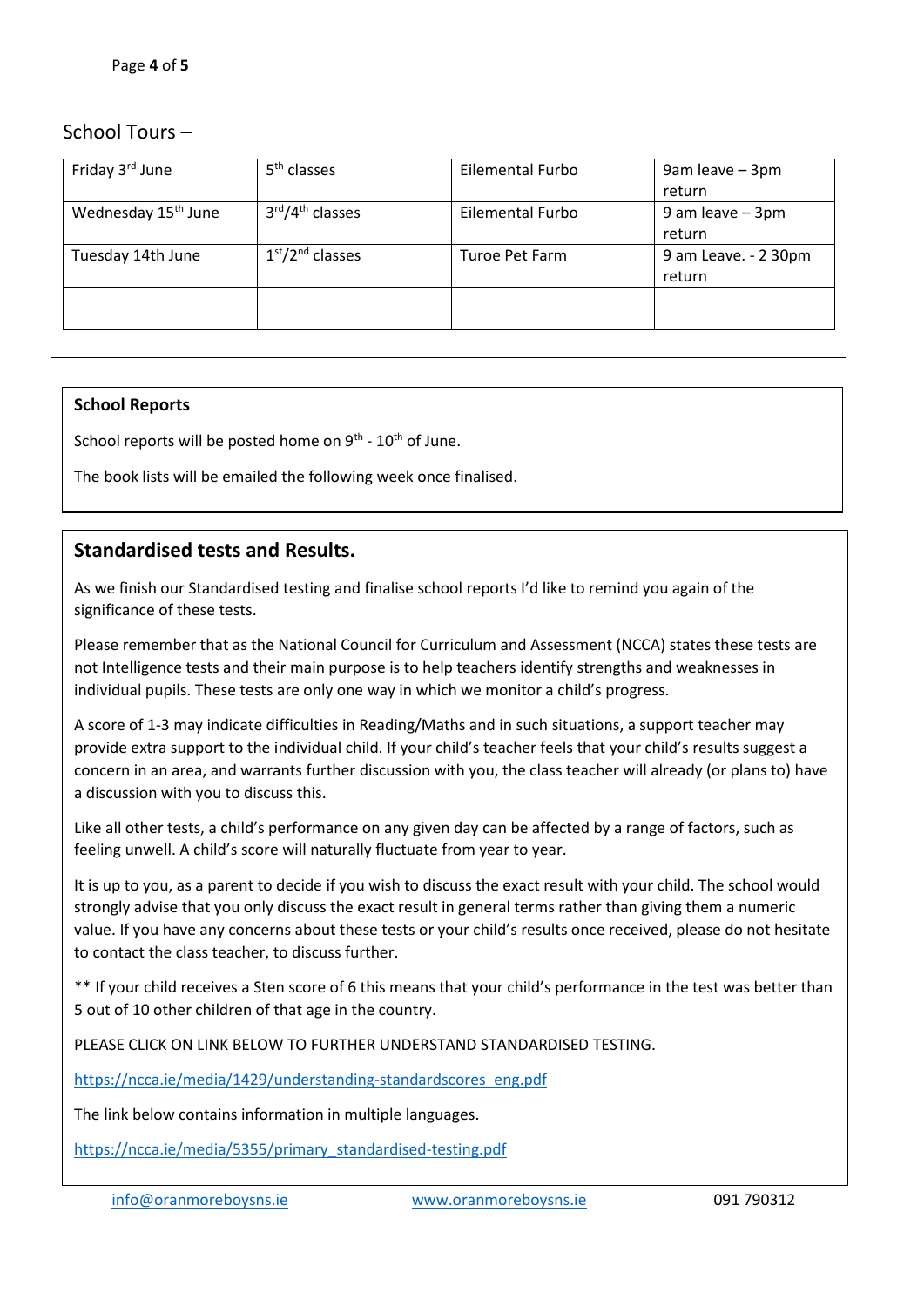| School Tours-                   |                                          |                  |                                |
|---------------------------------|------------------------------------------|------------------|--------------------------------|
| Friday 3 <sup>rd</sup> June     | 5 <sup>th</sup> classes                  | Eilemental Furbo | 9am leave - 3pm<br>return      |
| Wednesday 15 <sup>th</sup> June | 3rd/4 <sup>th</sup> classes              | Eilemental Furbo | 9 am leave - 3pm<br>return     |
| Tuesday 14th June               | 1 <sup>st</sup> /2 <sup>nd</sup> classes | Turoe Pet Farm   | 9 am Leave. - 2 30pm<br>return |
|                                 |                                          |                  |                                |

#### **School Reports**

School reports will be posted home on  $9<sup>th</sup>$  -  $10<sup>th</sup>$  of June.

The book lists will be emailed the following week once finalised.

#### **Standardised tests and Results.**

As we finish our Standardised testing and finalise school reports I'd like to remind you again of the significance of these tests.

Please remember that as the National Council for Curriculum and Assessment (NCCA) states these tests are not Intelligence tests and their main purpose is to help teachers identify strengths and weaknesses in individual pupils. These tests are only one way in which we monitor a child's progress.

A score of 1-3 may indicate difficulties in Reading/Maths and in such situations, a support teacher may provide extra support to the individual child. If your child's teacher feels that your child's results suggest a concern in an area, and warrants further discussion with you, the class teacher will already (or plans to) have a discussion with you to discuss this.

Like all other tests, a child's performance on any given day can be affected by a range of factors, such as feeling unwell. A child's score will naturally fluctuate from year to year.

It is up to you, as a parent to decide if you wish to discuss the exact result with your child. The school would strongly advise that you only discuss the exact result in general terms rather than giving them a numeric value. If you have any concerns about these tests or your child's results once received, please do not hesitate to contact the class teacher, to discuss further.

\*\* If your child receives a Sten score of 6 this means that your child's performance in the test was better than 5 out of 10 other children of that age in the country.

PLEASE CLICK ON LINK BELOW TO FURTHER UNDERSTAND STANDARDISED TESTING.

[https://ncca.ie/media/1429/understanding-standardscores\\_eng.pdf](https://ncca.ie/media/1429/understanding-standardscores_eng.pdf)

The link below contains information in multiple languages.

[https://ncca.ie/media/5355/primary\\_standardised-testing.pdf](https://ncca.ie/media/5355/primary_standardised-testing.pdf)